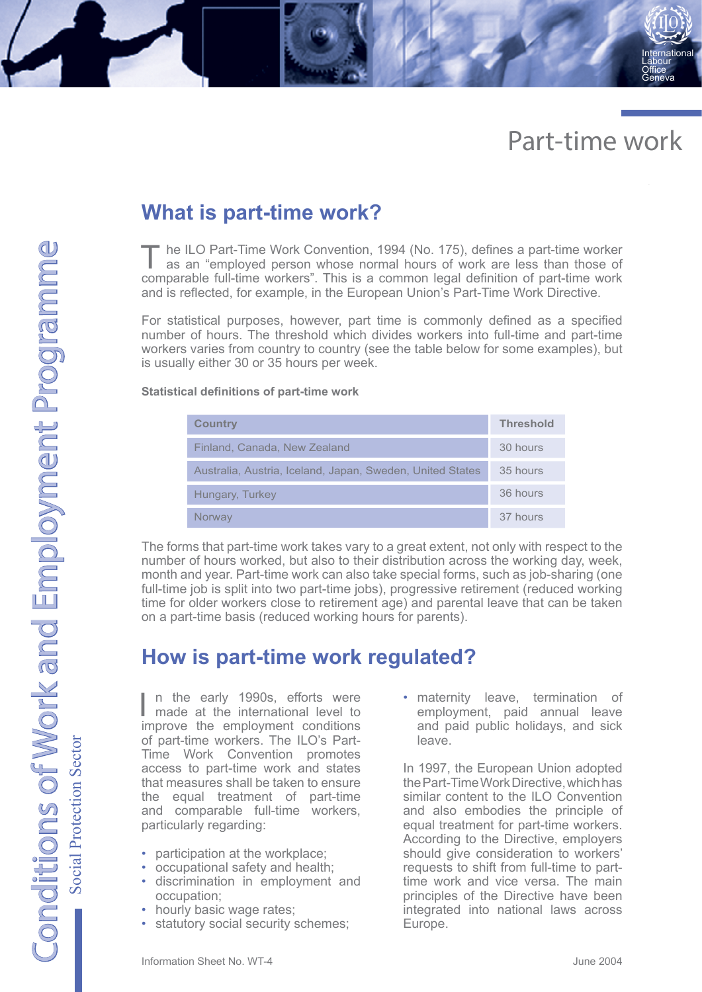Part-time work

International Labour Office **Geneva** 

## **What is part-time work?**

The ILO Part-Time Work Convention, 1994 (No. 175), defines a part-time worker<br>as an "employed person whose normal hours of work are less than those of<br>convergeble full time workers." This is a common local definition of no comparable full-time workers". This is a common legal definition of part-time work and is reflected, for example, in the European Union's Part-Time Work Directive.

For statistical purposes, however, part time is commonly defined as a specified number of hours. The threshold which divides workers into full-time and part-time workers varies from country to country (see the table below for some examples), but is usually either 30 or 35 hours per week.

**Statistical definitions of part-time work**

| <b>Country</b>                                            | <b>Threshold</b> |
|-----------------------------------------------------------|------------------|
| Finland, Canada, New Zealand                              | 30 hours         |
| Australia, Austria, Iceland, Japan, Sweden, United States | 35 hours         |
| Hungary, Turkey                                           | 36 hours         |
| Norwav                                                    | 37 hours         |

The forms that part-time work takes vary to a great extent, not only with respect to the number of hours worked, but also to their distribution across the working day, week, month and year. Part-time work can also take special forms, such as job-sharing (one full-time job is split into two part-time jobs), progressive retirement (reduced working time for older workers close to retirement age) and parental leave that can be taken on a part-time basis (reduced working hours for parents).

# **How is part-time work regulated?**

n the early 1990s, efforts were made at the international level to improve the employment conditions of part-time workers. The ILO's Part-Time Work Convention promotes access to part-time work and states that measures shall be taken to ensure the equal treatment of part-time and comparable full-time workers, particularly regarding:

- participation at the workplace;
- occupational safety and health;
- discrimination in employment and occupation;
- hourly basic wage rates;
- statutory social security schemes;

• maternity leave, termination of employment, paid annual leave and paid public holidays, and sick leave.

In 1997, the European Union adopted the Part-Time Work Directive, which has similar content to the ILO Convention and also embodies the principle of equal treatment for part-time workers. According to the Directive, employers should give consideration to workers' requests to shift from full-time to parttime work and vice versa. The main principles of the Directive have been integrated into national laws across Europe.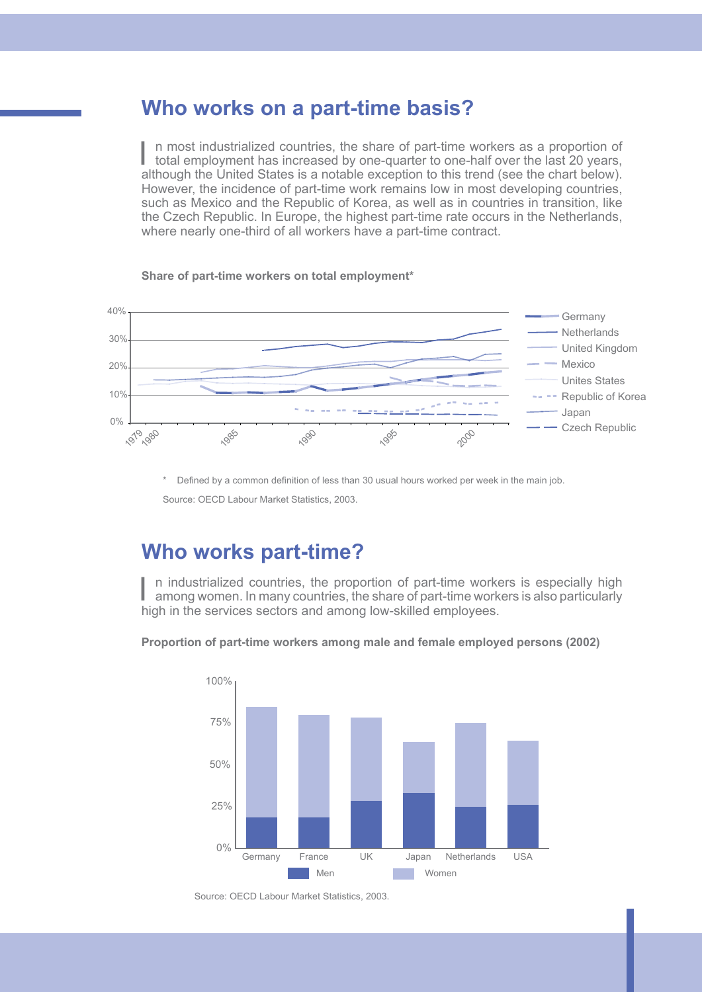### **Who works on a part-time basis?**

In most industrialized countries, the share of part-time workers as a proportion of total employment has increased by one-quarter to one-half over the last 20 years, although the United States is a notable exception to this trend (see the chart below). However, the incidence of part-time work remains low in most developing countries, such as Mexico and the Republic of Korea, as well as in countries in transition, like the Czech Republic. In Europe, the highest part-time rate occurs in the Netherlands, where nearly one-third of all workers have a part-time contract.

#### **Share of part-time workers on total employment\***



\* Defined by a common definition of less than 30 usual hours worked per week in the main job.

Source: OECD Labour Market Statistics, 2003.

## **Who works part-time?**

In industrialized countries, the proportion of part-time workers is especially high among women. In many countries, the share of part-time workers is also particularly high in the services sectors and among low-skilled employees.

#### **Proportion of part-time workers among male and female employed persons (2002)**



Source: OECD Labour Market Statistics, 2003.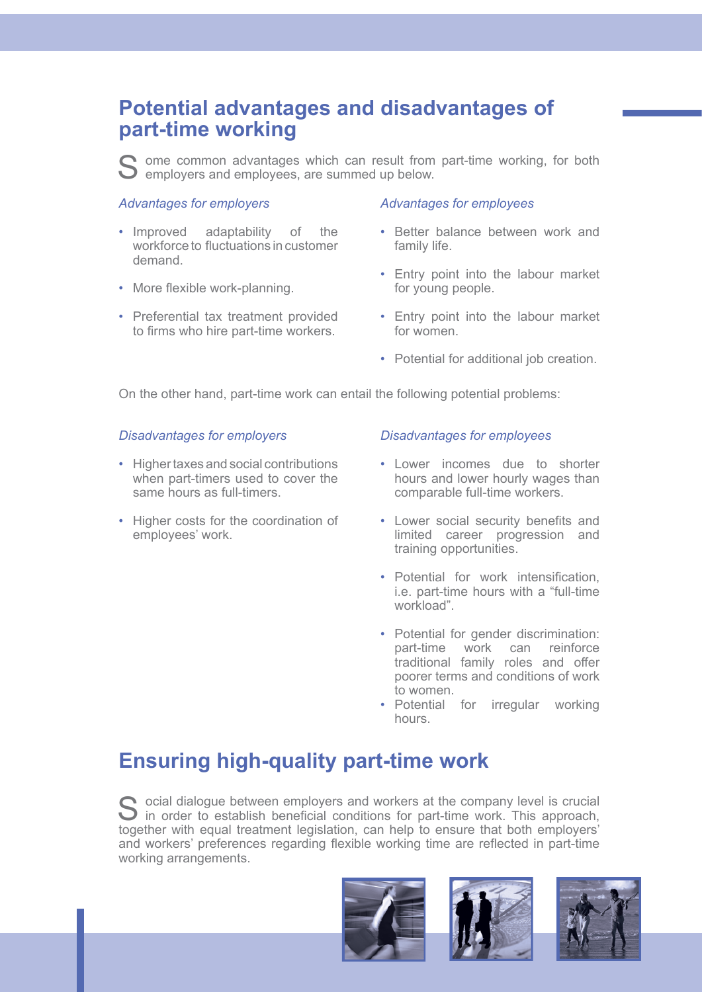## **Potential advantages and disadvantages of part-time working**

 $\sum$  ome common advantages which can result from part-time working, for both **O** employers and employees, are summed up below.

### *Advantages for employers*

- Improved adaptability of the workforce to fluctuations in customer demand.
- More flexible work-planning.
- Preferential tax treatment provided to firms who hire part-time workers.

#### *Advantages for employees*

- Better balance between work and family life.
- Entry point into the labour market for young people.
- Entry point into the labour market for women.
- Potential for additional job creation.

On the other hand, part-time work can entail the following potential problems:

### *Disadvantages for employers*

- Higher taxes and social contributions when part-timers used to cover the same hours as full-timers.
- Higher costs for the coordination of employees' work.

### *Disadvantages for employees*

- Lower incomes due to shorter hours and lower hourly wages than comparable full-time workers.
- Lower social security benefits and limited career progression and training opportunities.
- Potential for work intensification, i.e. part-time hours with a "full-time workload".
- Potential for gender discrimination: part-time work can reinforce traditional family roles and offer poorer terms and conditions of work to women.
- Potential for irregular working hours.

## **Ensuring high-quality part-time work**

S ocial dialogue between employers and workers at the company level is crucial in order to establish beneficial conditions for part-time work. This approach, together with equal treatment legislation, can help to ensure that both employers' and workers' preferences regarding flexible working time are reflected in part-time working arrangements.